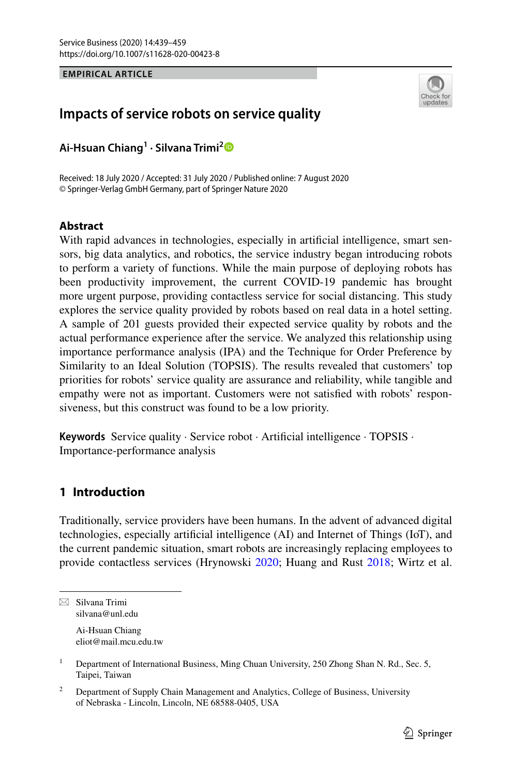## **EMPIRICAL ARTICLE**



# **Impacts of service robots on service quality**

**Ai‑Hsuan Chiang<sup>1</sup> · Silvana Trimi[2](http://orcid.org/0000-0002-9482-3731)**

Received: 18 July 2020 / Accepted: 31 July 2020 / Published online: 7 August 2020 © Springer-Verlag GmbH Germany, part of Springer Nature 2020

### **Abstract**

With rapid advances in technologies, especially in artificial intelligence, smart sensors, big data analytics, and robotics, the service industry began introducing robots to perform a variety of functions. While the main purpose of deploying robots has been productivity improvement, the current COVID-19 pandemic has brought more urgent purpose, providing contactless service for social distancing. This study explores the service quality provided by robots based on real data in a hotel setting. A sample of 201 guests provided their expected service quality by robots and the actual performance experience after the service. We analyzed this relationship using importance performance analysis (IPA) and the Technique for Order Preference by Similarity to an Ideal Solution (TOPSIS). The results revealed that customers' top priorities for robots' service quality are assurance and reliability, while tangible and empathy were not as important. Customers were not satisfed with robots' responsiveness, but this construct was found to be a low priority.

**Keywords** Service quality · Service robot · Artifcial intelligence · TOPSIS · Importance-performance analysis

# **1 Introduction**

Traditionally, service providers have been humans. In the advent of advanced digital technologies, especially artifcial intelligence (AI) and Internet of Things (IoT), and the current pandemic situation, smart robots are increasingly replacing employees to provide contactless services (Hrynowski [2020](#page-18-0); Huang and Rust [2018](#page-18-1); Wirtz et al.

eliot@mail.mcu.edu.tw

 $\boxtimes$  Silvana Trimi silvana@unl.edu Ai-Hsuan Chiang

<sup>&</sup>lt;sup>1</sup> Department of International Business, Ming Chuan University, 250 Zhong Shan N. Rd., Sec. 5, Taipei, Taiwan

<sup>&</sup>lt;sup>2</sup> Department of Supply Chain Management and Analytics, College of Business, University of Nebraska - Lincoln, Lincoln, NE 68588-0405, USA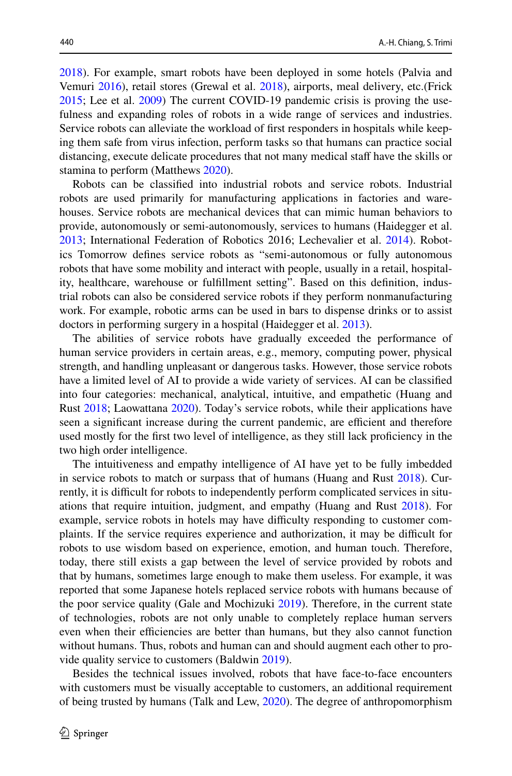[2018](#page-20-0)). For example, smart robots have been deployed in some hotels (Palvia and Vemuri [2016](#page-19-0)), retail stores (Grewal et al. [2018](#page-18-2)), airports, meal delivery, etc.(Frick [2015](#page-18-3); Lee et al. [2009](#page-18-4)) The current COVID-19 pandemic crisis is proving the usefulness and expanding roles of robots in a wide range of services and industries. Service robots can alleviate the workload of frst responders in hospitals while keeping them safe from virus infection, perform tasks so that humans can practice social distancing, execute delicate procedures that not many medical staf have the skills or stamina to perform (Matthews [2020\)](#page-19-1).

Robots can be classifed into industrial robots and service robots. Industrial robots are used primarily for manufacturing applications in factories and warehouses. Service robots are mechanical devices that can mimic human behaviors to provide, autonomously or semi-autonomously, services to humans (Haidegger et al. [2013](#page-18-5); International Federation of Robotics 2016; Lechevalier et al. [2014](#page-18-6)). Robotics Tomorrow defnes service robots as "semi-autonomous or fully autonomous robots that have some mobility and interact with people, usually in a retail, hospitality, healthcare, warehouse or fulfllment setting". Based on this defnition, industrial robots can also be considered service robots if they perform nonmanufacturing work. For example, robotic arms can be used in bars to dispense drinks or to assist doctors in performing surgery in a hospital (Haidegger et al. [2013\)](#page-18-5).

The abilities of service robots have gradually exceeded the performance of human service providers in certain areas, e.g., memory, computing power, physical strength, and handling unpleasant or dangerous tasks. However, those service robots have a limited level of AI to provide a wide variety of services. AI can be classifed into four categories: mechanical, analytical, intuitive, and empathetic (Huang and Rust [2018](#page-18-1); Laowattana [2020](#page-18-7)). Today's service robots, while their applications have seen a significant increase during the current pandemic, are efficient and therefore used mostly for the frst two level of intelligence, as they still lack profciency in the two high order intelligence.

The intuitiveness and empathy intelligence of AI have yet to be fully imbedded in service robots to match or surpass that of humans (Huang and Rust [2018](#page-18-1)). Currently, it is difficult for robots to independently perform complicated services in situations that require intuition, judgment, and empathy (Huang and Rust [2018\)](#page-18-1). For example, service robots in hotels may have difficulty responding to customer complaints. If the service requires experience and authorization, it may be difficult for robots to use wisdom based on experience, emotion, and human touch. Therefore, today, there still exists a gap between the level of service provided by robots and that by humans, sometimes large enough to make them useless. For example, it was reported that some Japanese hotels replaced service robots with humans because of the poor service quality (Gale and Mochizuki [2019\)](#page-18-8). Therefore, in the current state of technologies, robots are not only unable to completely replace human servers even when their efficiencies are better than humans, but they also cannot function without humans. Thus, robots and human can and should augment each other to provide quality service to customers (Baldwin [2019\)](#page-17-0).

Besides the technical issues involved, robots that have face-to-face encounters with customers must be visually acceptable to customers, an additional requirement of being trusted by humans (Talk and Lew, [2020](#page-20-1)). The degree of anthropomorphism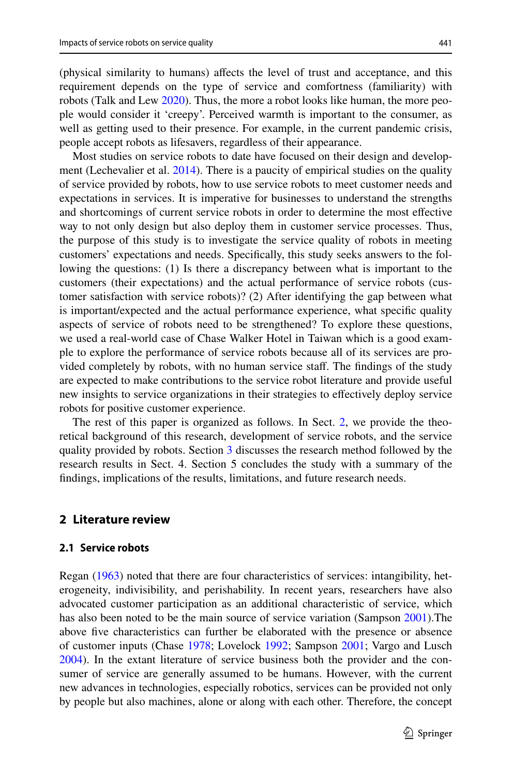(physical similarity to humans) afects the level of trust and acceptance, and this requirement depends on the type of service and comfortness (familiarity) with robots (Talk and Lew [2020\)](#page-20-1). Thus, the more a robot looks like human, the more people would consider it 'creepy'. Perceived warmth is important to the consumer, as well as getting used to their presence. For example, in the current pandemic crisis, people accept robots as lifesavers, regardless of their appearance.

Most studies on service robots to date have focused on their design and development (Lechevalier et al.  $2014$ ). There is a paucity of empirical studies on the quality of service provided by robots, how to use service robots to meet customer needs and expectations in services. It is imperative for businesses to understand the strengths and shortcomings of current service robots in order to determine the most efective way to not only design but also deploy them in customer service processes. Thus, the purpose of this study is to investigate the service quality of robots in meeting customers' expectations and needs. Specifcally, this study seeks answers to the following the questions: (1) Is there a discrepancy between what is important to the customers (their expectations) and the actual performance of service robots (customer satisfaction with service robots)? (2) After identifying the gap between what is important/expected and the actual performance experience, what specifc quality aspects of service of robots need to be strengthened? To explore these questions, we used a real-world case of Chase Walker Hotel in Taiwan which is a good example to explore the performance of service robots because all of its services are provided completely by robots, with no human service staf. The fndings of the study are expected to make contributions to the service robot literature and provide useful new insights to service organizations in their strategies to efectively deploy service robots for positive customer experience.

The rest of this paper is organized as follows. In Sect. [2,](#page-5-0) we provide the theoretical background of this research, development of service robots, and the service quality provided by robots. Section [3](#page-10-0) discusses the research method followed by the research results in Sect. 4. Section 5 concludes the study with a summary of the fndings, implications of the results, limitations, and future research needs.

## **2 Literature review**

#### **2.1 Service robots**

Regan ([1963\)](#page-19-2) noted that there are four characteristics of services: intangibility, heterogeneity, indivisibility, and perishability. In recent years, researchers have also advocated customer participation as an additional characteristic of service, which has also been noted to be the main source of service variation (Sampson [2001\)](#page-19-3).The above fve characteristics can further be elaborated with the presence or absence of customer inputs (Chase [1978](#page-17-1); Lovelock [1992](#page-19-4); Sampson [2001](#page-19-3); Vargo and Lusch [2004](#page-20-2)). In the extant literature of service business both the provider and the consumer of service are generally assumed to be humans. However, with the current new advances in technologies, especially robotics, services can be provided not only by people but also machines, alone or along with each other. Therefore, the concept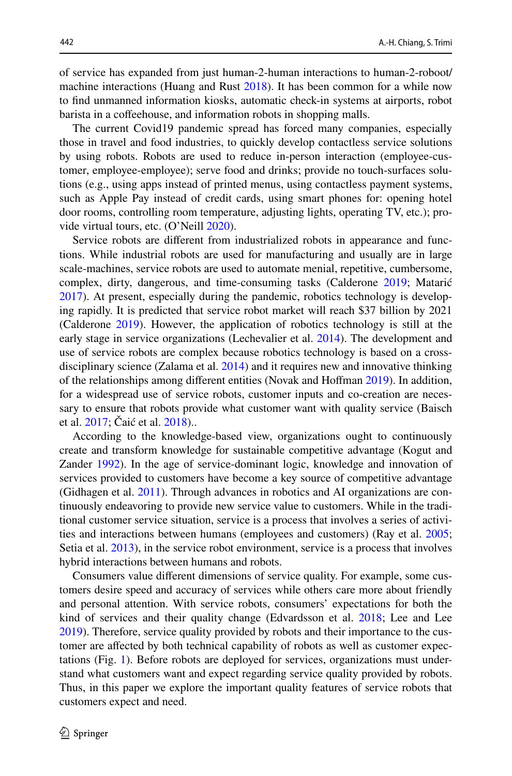of service has expanded from just human-2-human interactions to human-2-roboot/ machine interactions (Huang and Rust [2018](#page-18-1)). It has been common for a while now to fnd unmanned information kiosks, automatic check-in systems at airports, robot barista in a coffeehouse, and information robots in shopping malls.

The current Covid19 pandemic spread has forced many companies, especially those in travel and food industries, to quickly develop contactless service solutions by using robots. Robots are used to reduce in-person interaction (employee-customer, employee-employee); serve food and drinks; provide no touch-surfaces solutions (e.g., using apps instead of printed menus, using contactless payment systems, such as Apple Pay instead of credit cards, using smart phones for: opening hotel door rooms, controlling room temperature, adjusting lights, operating TV, etc.); provide virtual tours, etc. (O'Neill [2020](#page-19-5)).

Service robots are diferent from industrialized robots in appearance and functions. While industrial robots are used for manufacturing and usually are in large scale-machines, service robots are used to automate menial, repetitive, cumbersome, complex, dirty, dangerous, and time-consuming tasks (Calderone [2019](#page-17-2); Matarić [2017](#page-19-6)). At present, especially during the pandemic, robotics technology is developing rapidly. It is predicted that service robot market will reach \$37 billion by 2021 (Calderone [2019\)](#page-17-2). However, the application of robotics technology is still at the early stage in service organizations (Lechevalier et al. [2014](#page-18-6)). The development and use of service robots are complex because robotics technology is based on a crossdisciplinary science (Zalama et al. [2014](#page-20-3)) and it requires new and innovative thinking of the relationships among diferent entities (Novak and Hofman [2019\)](#page-19-7). In addition, for a widespread use of service robots, customer inputs and co-creation are necessary to ensure that robots provide what customer want with quality service (Baisch et al. [2017;](#page-17-3) Čaić et al. [2018\)](#page-17-4)..

According to the knowledge-based view, organizations ought to continuously create and transform knowledge for sustainable competitive advantage (Kogut and Zander [1992\)](#page-18-9). In the age of service-dominant logic, knowledge and innovation of services provided to customers have become a key source of competitive advantage (Gidhagen et al. [2011](#page-18-10)). Through advances in robotics and AI organizations are continuously endeavoring to provide new service value to customers. While in the traditional customer service situation, service is a process that involves a series of activities and interactions between humans (employees and customers) (Ray et al. [2005;](#page-19-8) Setia et al. [2013](#page-19-9)), in the service robot environment, service is a process that involves hybrid interactions between humans and robots.

Consumers value diferent dimensions of service quality. For example, some customers desire speed and accuracy of services while others care more about friendly and personal attention. With service robots, consumers' expectations for both the kind of services and their quality change (Edvardsson et al. [2018](#page-18-11); Lee and Lee [2019](#page-18-12)). Therefore, service quality provided by robots and their importance to the customer are afected by both technical capability of robots as well as customer expectations (Fig. [1](#page-4-0)). Before robots are deployed for services, organizations must understand what customers want and expect regarding service quality provided by robots. Thus, in this paper we explore the important quality features of service robots that customers expect and need.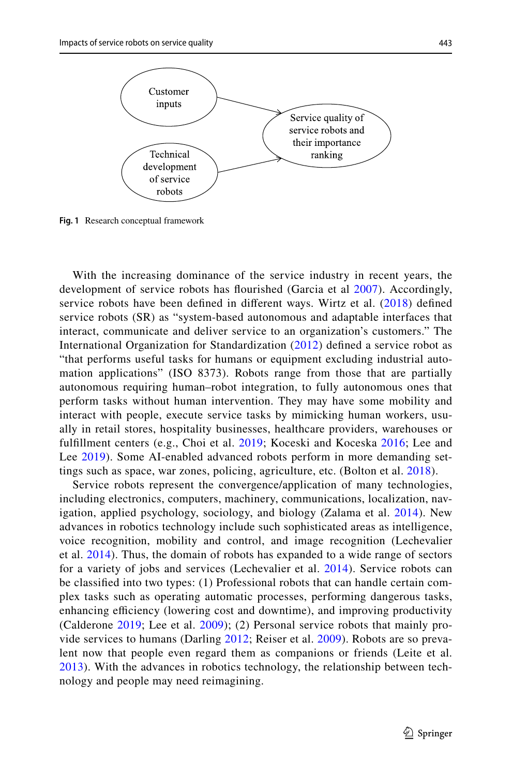

<span id="page-4-0"></span>**Fig. 1** Research conceptual framework

With the increasing dominance of the service industry in recent years, the development of service robots has fourished (Garcia et al [2007\)](#page-18-13). Accordingly, service robots have been defned in diferent ways. Wirtz et al. ([2018\)](#page-20-0) defned service robots (SR) as "system-based autonomous and adaptable interfaces that interact, communicate and deliver service to an organization's customers." The International Organization for Standardization ([2012\)](#page-18-14) defned a service robot as "that performs useful tasks for humans or equipment excluding industrial automation applications" (ISO 8373). Robots range from those that are partially autonomous requiring human–robot integration, to fully autonomous ones that perform tasks without human intervention. They may have some mobility and interact with people, execute service tasks by mimicking human workers, usually in retail stores, hospitality businesses, healthcare providers, warehouses or fulfllment centers (e.g., Choi et al. [2019;](#page-17-5) Koceski and Koceska [2016](#page-18-15); Lee and Lee [2019\)](#page-18-12). Some AI-enabled advanced robots perform in more demanding settings such as space, war zones, policing, agriculture, etc. (Bolton et al. [2018](#page-17-6)).

Service robots represent the convergence/application of many technologies, including electronics, computers, machinery, communications, localization, navigation, applied psychology, sociology, and biology (Zalama et al. [2014\)](#page-20-3). New advances in robotics technology include such sophisticated areas as intelligence, voice recognition, mobility and control, and image recognition (Lechevalier et al. [2014](#page-18-6)). Thus, the domain of robots has expanded to a wide range of sectors for a variety of jobs and services (Lechevalier et al. [2014](#page-18-6)). Service robots can be classifed into two types: (1) Professional robots that can handle certain complex tasks such as operating automatic processes, performing dangerous tasks, enhancing efficiency (lowering cost and downtime), and improving productivity (Calderone [2019;](#page-17-2) Lee et al. [2009](#page-18-4)); (2) Personal service robots that mainly provide services to humans (Darling [2012;](#page-18-16) Reiser et al. [2009](#page-19-10)). Robots are so prevalent now that people even regard them as companions or friends (Leite et al. [2013\)](#page-18-17). With the advances in robotics technology, the relationship between technology and people may need reimagining.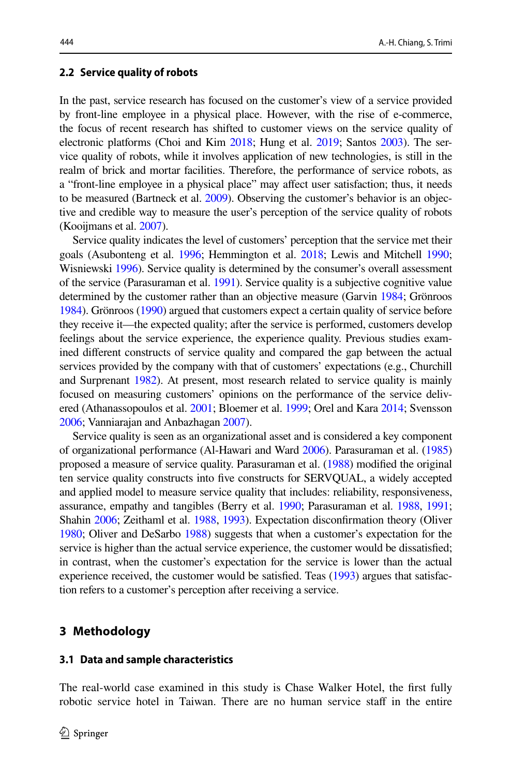#### **2.2 Service quality of robots**

In the past, service research has focused on the customer's view of a service provided by front-line employee in a physical place. However, with the rise of e-commerce, the focus of recent research has shifted to customer views on the service quality of electronic platforms (Choi and Kim [2018;](#page-17-7) Hung et al. [2019](#page-18-18); Santos [2003](#page-19-11)). The service quality of robots, while it involves application of new technologies, is still in the realm of brick and mortar facilities. Therefore, the performance of service robots, as a "front-line employee in a physical place" may afect user satisfaction; thus, it needs to be measured (Bartneck et al. [2009\)](#page-17-8). Observing the customer's behavior is an objective and credible way to measure the user's perception of the service quality of robots (Kooijmans et al. [2007](#page-18-19)).

Service quality indicates the level of customers' perception that the service met their goals (Asubonteng et al. [1996;](#page-17-9) Hemmington et al. [2018;](#page-18-20) Lewis and Mitchell [1990;](#page-19-12) Wisniewski [1996](#page-20-4)). Service quality is determined by the consumer's overall assessment of the service (Parasuraman et al. [1991\)](#page-19-13). Service quality is a subjective cognitive value determined by the customer rather than an objective measure (Garvin [1984](#page-18-21); Grönroos [1984](#page-18-22)). Grönroos [\(1990\)](#page-18-23) argued that customers expect a certain quality of service before they receive it—the expected quality; after the service is performed, customers develop feelings about the service experience, the experience quality. Previous studies examined diferent constructs of service quality and compared the gap between the actual services provided by the company with that of customers' expectations (e.g., Churchill and Surprenant [1982](#page-17-10)). At present, most research related to service quality is mainly focused on measuring customers' opinions on the performance of the service delivered (Athanassopoulos et al. [2001;](#page-17-11) Bloemer et al. [1999](#page-17-12); Orel and Kara [2014;](#page-19-14) Svensson [2006](#page-19-15); Vanniarajan and Anbazhagan [2007\)](#page-20-5).

Service quality is seen as an organizational asset and is considered a key component of organizational performance (Al-Hawari and Ward [2006](#page-17-13)). Parasuraman et al. ([1985\)](#page-19-16) proposed a measure of service quality. Parasuraman et al. ([1988](#page-19-17)) modifed the original ten service quality constructs into fve constructs for SERVQUAL, a widely accepted and applied model to measure service quality that includes: reliability, responsiveness, assurance, empathy and tangibles (Berry et al. [1990](#page-17-14); Parasuraman et al. [1988](#page-19-17), [1991;](#page-19-13) Shahin [2006](#page-19-18); Zeithaml et al. [1988,](#page-20-6) [1993\)](#page-20-7). Expectation disconfrmation theory (Oliver [1980](#page-19-19); Oliver and DeSarbo [1988\)](#page-19-20) suggests that when a customer's expectation for the service is higher than the actual service experience, the customer would be dissatisfed; in contrast, when the customer's expectation for the service is lower than the actual experience received, the customer would be satisfed. Teas ([1993](#page-20-8)) argues that satisfaction refers to a customer's perception after receiving a service.

#### <span id="page-5-0"></span>**3 Methodology**

#### **3.1 Data and sample characteristics**

The real-world case examined in this study is Chase Walker Hotel, the frst fully robotic service hotel in Taiwan. There are no human service staff in the entire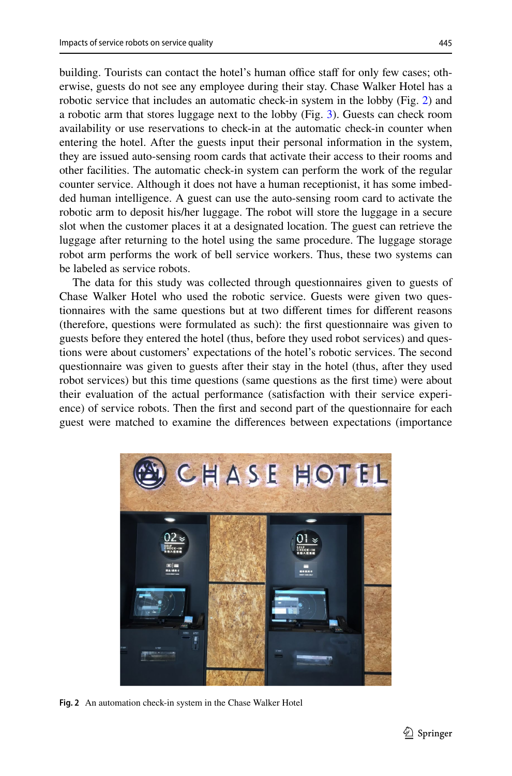building. Tourists can contact the hotel's human office staff for only few cases; otherwise, guests do not see any employee during their stay. Chase Walker Hotel has a robotic service that includes an automatic check-in system in the lobby (Fig. [2\)](#page-6-0) and a robotic arm that stores luggage next to the lobby (Fig. [3\)](#page-7-0). Guests can check room availability or use reservations to check-in at the automatic check-in counter when entering the hotel. After the guests input their personal information in the system, they are issued auto-sensing room cards that activate their access to their rooms and other facilities. The automatic check-in system can perform the work of the regular counter service. Although it does not have a human receptionist, it has some imbedded human intelligence. A guest can use the auto-sensing room card to activate the robotic arm to deposit his/her luggage. The robot will store the luggage in a secure slot when the customer places it at a designated location. The guest can retrieve the luggage after returning to the hotel using the same procedure. The luggage storage robot arm performs the work of bell service workers. Thus, these two systems can be labeled as service robots.

The data for this study was collected through questionnaires given to guests of Chase Walker Hotel who used the robotic service. Guests were given two questionnaires with the same questions but at two diferent times for diferent reasons (therefore, questions were formulated as such): the frst questionnaire was given to guests before they entered the hotel (thus, before they used robot services) and questions were about customers' expectations of the hotel's robotic services. The second questionnaire was given to guests after their stay in the hotel (thus, after they used robot services) but this time questions (same questions as the frst time) were about their evaluation of the actual performance (satisfaction with their service experience) of service robots. Then the frst and second part of the questionnaire for each guest were matched to examine the diferences between expectations (importance

<span id="page-6-0"></span>

**Fig. 2** An automation check-in system in the Chase Walker Hotel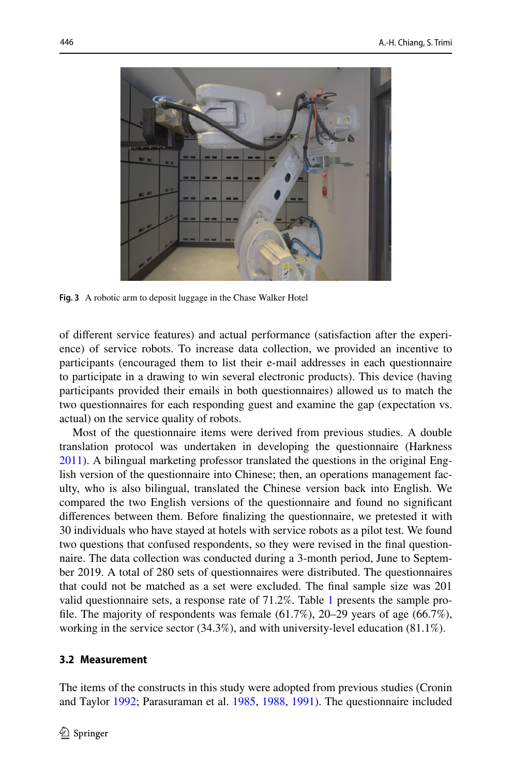

<span id="page-7-0"></span>**Fig. 3** A robotic arm to deposit luggage in the Chase Walker Hotel

of diferent service features) and actual performance (satisfaction after the experience) of service robots. To increase data collection, we provided an incentive to participants (encouraged them to list their e-mail addresses in each questionnaire to participate in a drawing to win several electronic products). This device (having participants provided their emails in both questionnaires) allowed us to match the two questionnaires for each responding guest and examine the gap (expectation vs. actual) on the service quality of robots.

Most of the questionnaire items were derived from previous studies. A double translation protocol was undertaken in developing the questionnaire (Harkness [2011](#page-18-24)). A bilingual marketing professor translated the questions in the original English version of the questionnaire into Chinese; then, an operations management faculty, who is also bilingual, translated the Chinese version back into English. We compared the two English versions of the questionnaire and found no signifcant diferences between them. Before fnalizing the questionnaire, we pretested it with 30 individuals who have stayed at hotels with service robots as a pilot test. We found two questions that confused respondents, so they were revised in the fnal questionnaire. The data collection was conducted during a 3-month period, June to September 2019. A total of 280 sets of questionnaires were distributed. The questionnaires that could not be matched as a set were excluded. The fnal sample size was 201 valid questionnaire sets, a response rate of 71.2%. Table [1](#page-8-0) presents the sample profile. The majority of respondents was female  $(61.7\%)$ , 20–29 years of age  $(66.7\%)$ , working in the service sector (34.3%), and with university-level education (81.1%).

### **3.2 Measurement**

The items of the constructs in this study were adopted from previous studies (Cronin and Taylor [1992](#page-17-15); Parasuraman et al. [1985,](#page-19-16) [1988,](#page-19-17) [1991](#page-19-13)). The questionnaire included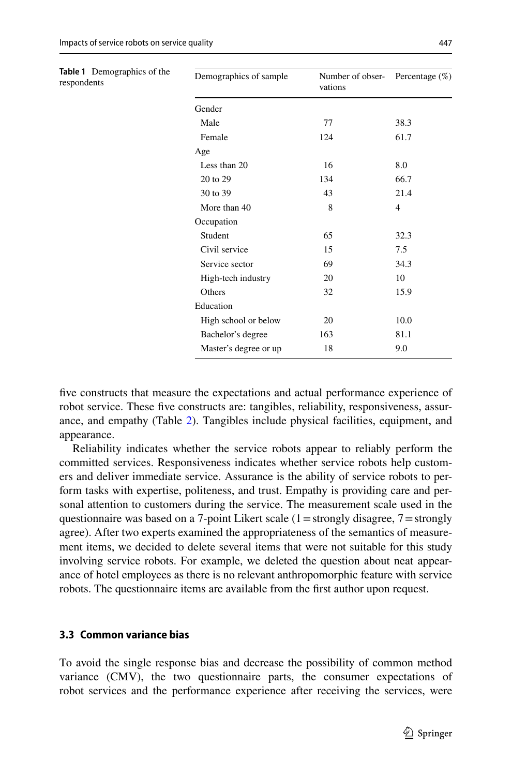<span id="page-8-0"></span>

| Table 1 Demographics of the<br>respondents | Demographics of sample | Number of obser-<br>vations | Percentage $(\%)$ |
|--------------------------------------------|------------------------|-----------------------------|-------------------|
|                                            | Gender                 |                             |                   |
|                                            | Male                   | 77                          | 38.3              |
|                                            | Female                 | 124                         | 61.7              |
|                                            | Age                    |                             |                   |
|                                            | Less than 20           | 16                          | 8.0               |
|                                            | 20 to 29               | 134                         | 66.7              |
|                                            | 30 to 39               | 43                          | 21.4              |
|                                            | More than 40           | 8                           | $\overline{4}$    |
|                                            | Occupation             |                             |                   |
|                                            | Student                | 65                          | 32.3              |
|                                            | Civil service          | 15                          | 7.5               |
|                                            | Service sector         | 69                          | 34.3              |
|                                            | High-tech industry     | 20                          | 10                |
|                                            | Others                 | 32                          | 15.9              |
|                                            | Education              |                             |                   |
|                                            | High school or below   | 20                          | 10.0              |
|                                            | Bachelor's degree      | 163                         | 81.1              |
|                                            | Master's degree or up  | 18                          | 9.0               |

five constructs that measure the expectations and actual performance experience of robot service. These five constructs are: tangibles, reliability, responsiveness, assurance, and empathy (Table [2\)](#page-9-0). Tangibles include physical facilities, equipment, and appearance.

Reliability indicates whether the service robots appear to reliably perform the committed services. Responsiveness indicates whether service robots help customers and deliver immediate service. Assurance is the ability of service robots to perform tasks with expertise, politeness, and trust. Empathy is providing care and personal attention to customers during the service. The measurement scale used in the questionnaire was based on a 7-point Likert scale  $(1 =$ strongly disagree,  $7 =$ strongly agree). After two experts examined the appropriateness of the semantics of measurement items, we decided to delete several items that were not suitable for this study involving service robots. For example, we deleted the question about neat appearance of hotel employees as there is no relevant anthropomorphic feature with service robots. The questionnaire items are available from the frst author upon request.

#### **3.3 Common variance bias**

To avoid the single response bias and decrease the possibility of common method variance (CMV), the two questionnaire parts, the consumer expectations of robot services and the performance experience after receiving the services, were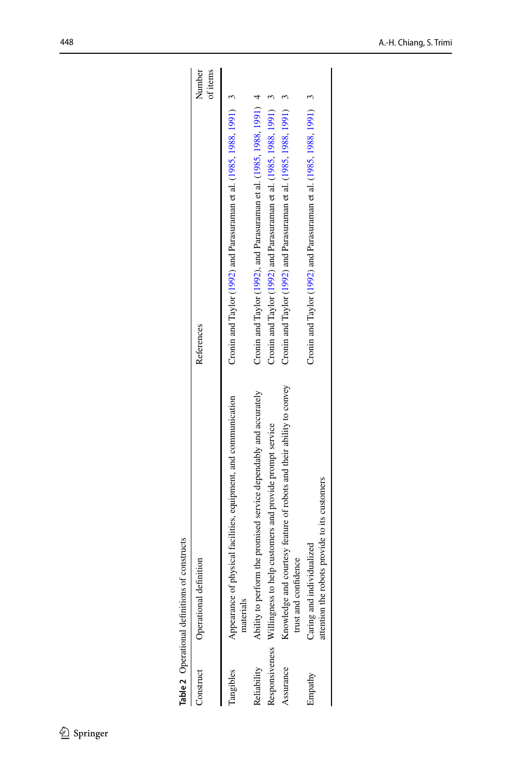| Construct   | Operational definition                                                                       | Number<br>of items<br>References                                         |  |
|-------------|----------------------------------------------------------------------------------------------|--------------------------------------------------------------------------|--|
| Tangibles   | Appearance of physical facilities, equipment, and communication<br>materials                 | Cronin and Taylor $(1992)$ and Parasuraman et al. $(1985, 1988, 1991)$ 3 |  |
| Reliability | Ability to perform the promised service dependably and accurately                            | Cronin and Taylor (1992), and Parasuraman et al. (1985, 1988, 1991)      |  |
|             | Responsiveness Willingness to help customers and provide prompt service                      | Cronin and Taylor (1992) and Parasuraman et al. (1985, 1988, 1991)       |  |
| Assurance   | Knowledge and courtesy feature of robots and their ability to convey<br>trust and confidence | Cronin and Taylor (1992) and Parasuraman et al. (1985, 1988, 1991)       |  |
| Empathy     | attention the robots provide to its customers<br>Caring and individualized                   | Cronin and Taylor (1992) and Parasuraman et al. $(1985, 1988, 1991)$ 3   |  |
|             |                                                                                              |                                                                          |  |

<span id="page-9-0"></span>Table 2 Operational definitions of constructs **Table 2** Operational defnitions of constructs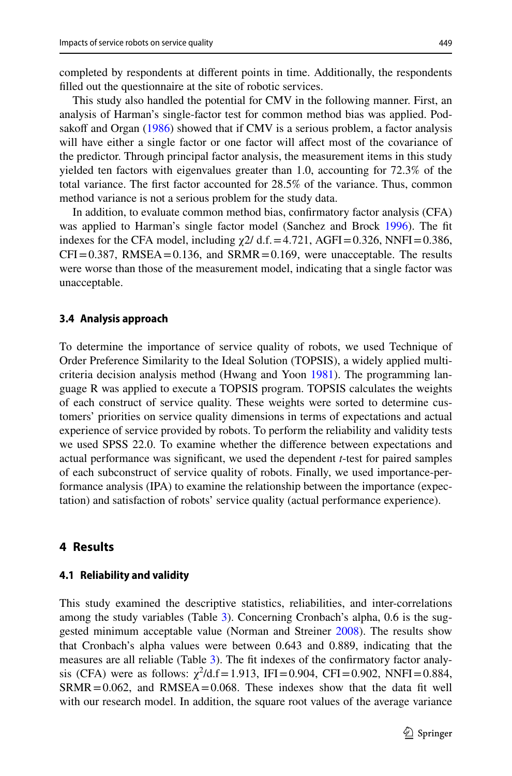completed by respondents at diferent points in time. Additionally, the respondents flled out the questionnaire at the site of robotic services.

This study also handled the potential for CMV in the following manner. First, an analysis of Harman's single-factor test for common method bias was applied. Pod-sakoff and Organ ([1986\)](#page-19-21) showed that if CMV is a serious problem, a factor analysis will have either a single factor or one factor will affect most of the covariance of the predictor. Through principal factor analysis, the measurement items in this study yielded ten factors with eigenvalues greater than 1.0, accounting for 72.3% of the total variance. The frst factor accounted for 28.5% of the variance. Thus, common method variance is not a serious problem for the study data.

In addition, to evaluate common method bias, confrmatory factor analysis (CFA) was applied to Harman's single factor model (Sanchez and Brock [1996](#page-19-22)). The ft indexes for the CFA model, including  $\chi$ 2/ d.f. = 4.721, AGFI = 0.326, NNFI = 0.386,  $CFI = 0.387$ , RMSEA $= 0.136$ , and SRMR $= 0.169$ , were unacceptable. The results were worse than those of the measurement model, indicating that a single factor was unacceptable.

#### **3.4 Analysis approach**

To determine the importance of service quality of robots, we used Technique of Order Preference Similarity to the Ideal Solution (TOPSIS), a widely applied multicriteria decision analysis method (Hwang and Yoon [1981\)](#page-18-25). The programming language R was applied to execute a TOPSIS program. TOPSIS calculates the weights of each construct of service quality. These weights were sorted to determine customers' priorities on service quality dimensions in terms of expectations and actual experience of service provided by robots. To perform the reliability and validity tests we used SPSS 22.0. To examine whether the diference between expectations and actual performance was signifcant, we used the dependent *t*-test for paired samples of each subconstruct of service quality of robots. Finally, we used importance-performance analysis (IPA) to examine the relationship between the importance (expectation) and satisfaction of robots' service quality (actual performance experience).

## <span id="page-10-0"></span>**4 Results**

#### **4.1 Reliability and validity**

This study examined the descriptive statistics, reliabilities, and inter-correlations among the study variables (Table [3](#page-12-0)). Concerning Cronbach's alpha, 0.6 is the suggested minimum acceptable value (Norman and Streiner [2008](#page-19-23)). The results show that Cronbach's alpha values were between 0.643 and 0.889, indicating that the measures are all reliable (Table [3](#page-12-0)). The ft indexes of the confrmatory factor analysis (CFA) were as follows:  $\chi^2/d.f = 1.913$ , IFI=0.904, CFI=0.902, NNFI=0.884,  $SRMR = 0.062$ , and  $RMSEA = 0.068$ . These indexes show that the data fit well with our research model. In addition, the square root values of the average variance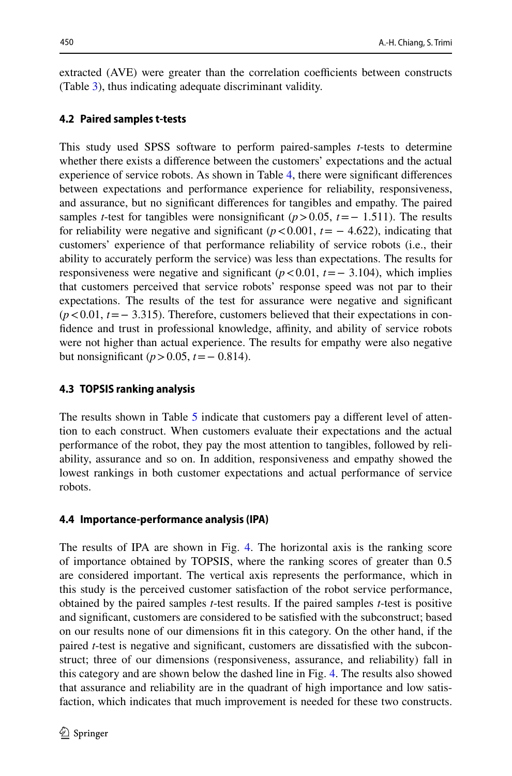extracted (AVE) were greater than the correlation coefficients between constructs (Table [3](#page-12-0)), thus indicating adequate discriminant validity.

## **4.2 Paired samples t‑tests**

This study used SPSS software to perform paired-samples *t*-tests to determine whether there exists a diference between the customers' expectations and the actual experience of service robots. As shown in Table [4,](#page-13-0) there were signifcant diferences between expectations and performance experience for reliability, responsiveness, and assurance, but no signifcant diferences for tangibles and empathy. The paired samples *t*-test for tangibles were nonsignificant  $(p>0.05, t=-1.511)$ . The results for reliability were negative and significant  $(p<0.001, t=-4.622)$ , indicating that customers' experience of that performance reliability of service robots (i.e., their ability to accurately perform the service) was less than expectations. The results for responsiveness were negative and signifcant (*p*<0.01, *t*=− 3.104), which implies that customers perceived that service robots' response speed was not par to their expectations. The results of the test for assurance were negative and signifcant (*p* < 0.01, *t* = − 3.315). Therefore, customers believed that their expectations in confidence and trust in professional knowledge, affinity, and ability of service robots were not higher than actual experience. The results for empathy were also negative but nonsignifcant (*p*>0.05, *t*=− 0.814).

## **4.3 TOPSIS ranking analysis**

The results shown in Table [5](#page-13-1) indicate that customers pay a diferent level of attention to each construct. When customers evaluate their expectations and the actual performance of the robot, they pay the most attention to tangibles, followed by reliability, assurance and so on. In addition, responsiveness and empathy showed the lowest rankings in both customer expectations and actual performance of service robots.

### **4.4 Importance‑performance analysis (IPA)**

The results of IPA are shown in Fig. [4.](#page-14-0) The horizontal axis is the ranking score of importance obtained by TOPSIS, where the ranking scores of greater than 0.5 are considered important. The vertical axis represents the performance, which in this study is the perceived customer satisfaction of the robot service performance, obtained by the paired samples *t*-test results. If the paired samples *t*-test is positive and signifcant, customers are considered to be satisfed with the subconstruct; based on our results none of our dimensions ft in this category. On the other hand, if the paired *t*-test is negative and signifcant, customers are dissatisfed with the subconstruct; three of our dimensions (responsiveness, assurance, and reliability) fall in this category and are shown below the dashed line in Fig. [4.](#page-14-0) The results also showed that assurance and reliability are in the quadrant of high importance and low satisfaction, which indicates that much improvement is needed for these two constructs.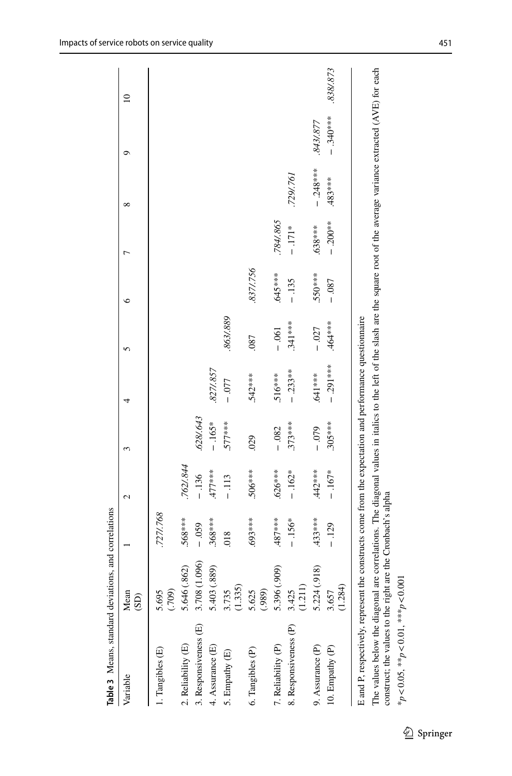| Table 3 Means, standard deviations, and correlations                                                                                     |                                |           |           |           |             |           |          |             |                                                                                                                                                  |             |           |
|------------------------------------------------------------------------------------------------------------------------------------------|--------------------------------|-----------|-----------|-----------|-------------|-----------|----------|-------------|--------------------------------------------------------------------------------------------------------------------------------------------------|-------------|-----------|
| Variable                                                                                                                                 | Mean<br>$\overline{\text{CD}}$ |           | 2         |           |             | r         | ∘        |             | $\infty$                                                                                                                                         | σ           | $\approx$ |
| Tangibles (E)                                                                                                                            | 5.695<br>(001)                 | 727/.768  |           |           |             |           |          |             |                                                                                                                                                  |             |           |
| 2. Reliability (E)                                                                                                                       | 5.646 (.862)                   | $568***$  | 762/844   |           |             |           |          |             |                                                                                                                                                  |             |           |
| 3. Responsiveness (E)                                                                                                                    | (1.096)<br>3.708               | $-0.59$   | $-136$    | .628/.643 |             |           |          |             |                                                                                                                                                  |             |           |
| 4. Assurance (E)                                                                                                                         | 5.403 (.889)                   | $.368***$ | $477$ *** | $-165*$   | 827/.857    |           |          |             |                                                                                                                                                  |             |           |
| 5. Empathy (E)                                                                                                                           | (1.335)<br>3.735               | 018       | $-113$    | $577***$  | $-0.077$    | 863/889   |          |             |                                                                                                                                                  |             |           |
| 6. Tangibles (P)                                                                                                                         | 5.625<br>(989)                 | ****69.   | .506***   | 029       | .542***     | .087      | 837/.756 |             |                                                                                                                                                  |             |           |
| 7. Reliability (P)                                                                                                                       | 5.396 (.909)                   | $.487***$ | $.626***$ | $-0.082$  | .516***     | $-0.61$   | .645 *** | 784/.865    |                                                                                                                                                  |             |           |
| 8. Responsiveness (P)                                                                                                                    | 3.425<br>(1.211)               | $-156*$   | $-162*$   | $.373***$ | $-0.233**$  | $.341***$ | $-135$   | $-171*$     | 729/.761                                                                                                                                         |             |           |
| 9. Assurance (P)                                                                                                                         | 5.224 (.918)                   | $433***$  | $.442***$ | $-0.079$  | 641 ***     | $-0.027$  | 550***   | .638***     | $-0.248***$                                                                                                                                      | 8431.877    |           |
| 10. Empathy (P)                                                                                                                          | (1.284)<br>3.657               | $-129$    | $-167*$   | $.305***$ | $-0.291***$ | .464***   | $-0.087$ | $-0.200$ ** | .483****                                                                                                                                         | $-0.340***$ | 838/873   |
| E and P, respectively, represent the constructs come from the expectation and performance questionnaire<br>The values below the diagonal |                                |           |           |           |             |           |          |             | are correlations. The diagonal values in italies to the left of the slash are the square root of the average variance extracted $(AVE)$ for each |             |           |

And American contract the values to the right are the Cronbach's alpha construct; the values to the right are the Cronbach's alpha

<span id="page-12-0"></span> $*_{p}$ <0.05,  $*_{p}$ <0.01,  $*_{p}$ <0.01,  $\frac{1}{2}$ \**p*<0.05, \*\**p*<0.01, \*\*\**p*<0.001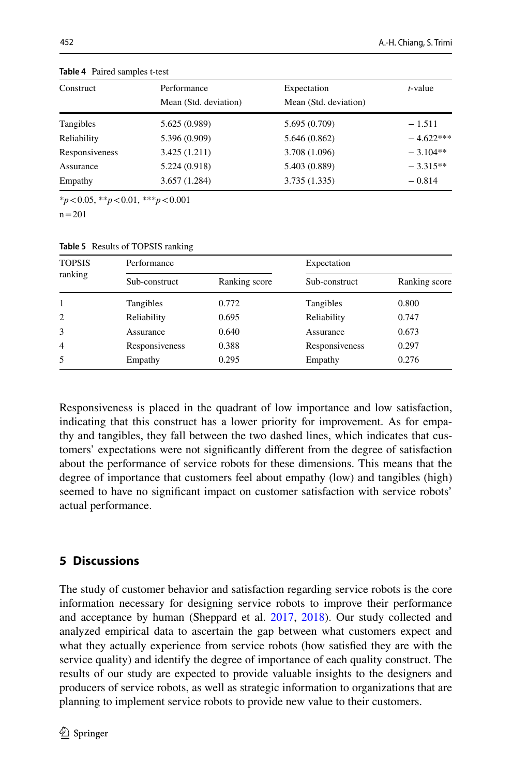| Construct      | Performance           | Expectation           | $t$ -value  |
|----------------|-----------------------|-----------------------|-------------|
|                | Mean (Std. deviation) | Mean (Std. deviation) |             |
| Tangibles      | 5.625 (0.989)         | 5.695 (0.709)         | $-1.511$    |
| Reliability    | 5.396 (0.909)         | 5.646(0.862)          | $-4.622***$ |
| Responsiveness | 3.425(1.211)          | 3.708 (1.096)         | $-3.104**$  |
| Assurance      | 5.224 (0.918)         | 5.403 (0.889)         | $-3.315**$  |
| Empathy        | 3.657(1.284)          | 3.735(1.335)          | $-0.814$    |

<span id="page-13-0"></span>**Table 4** Paired samples t-test

\**p*<0.05, \*\**p*<0.01, \*\*\**p*<0.001

 $n = 201$ 

<span id="page-13-1"></span>

| <b>TOPSIS</b><br>ranking | Performance    |               |                | Expectation   |  |
|--------------------------|----------------|---------------|----------------|---------------|--|
|                          | Sub-construct  | Ranking score | Sub-construct  | Ranking score |  |
| 1                        | Tangibles      | 0.772         | Tangibles      | 0.800         |  |
| 2                        | Reliability    | 0.695         | Reliability    | 0.747         |  |
| 3                        | Assurance      | 0.640         | Assurance      | 0.673         |  |
| $\overline{4}$           | Responsiveness | 0.388         | Responsiveness | 0.297         |  |
| 5                        | Empathy        | 0.295         | Empathy        | 0.276         |  |

Responsiveness is placed in the quadrant of low importance and low satisfaction, indicating that this construct has a lower priority for improvement. As for empathy and tangibles, they fall between the two dashed lines, which indicates that customers' expectations were not signifcantly diferent from the degree of satisfaction about the performance of service robots for these dimensions. This means that the degree of importance that customers feel about empathy (low) and tangibles (high) seemed to have no signifcant impact on customer satisfaction with service robots' actual performance.

# **5 Discussions**

The study of customer behavior and satisfaction regarding service robots is the core information necessary for designing service robots to improve their performance and acceptance by human (Sheppard et al. [2017](#page-19-24), [2018\)](#page-19-25). Our study collected and analyzed empirical data to ascertain the gap between what customers expect and what they actually experience from service robots (how satisfed they are with the service quality) and identify the degree of importance of each quality construct. The results of our study are expected to provide valuable insights to the designers and producers of service robots, as well as strategic information to organizations that are planning to implement service robots to provide new value to their customers.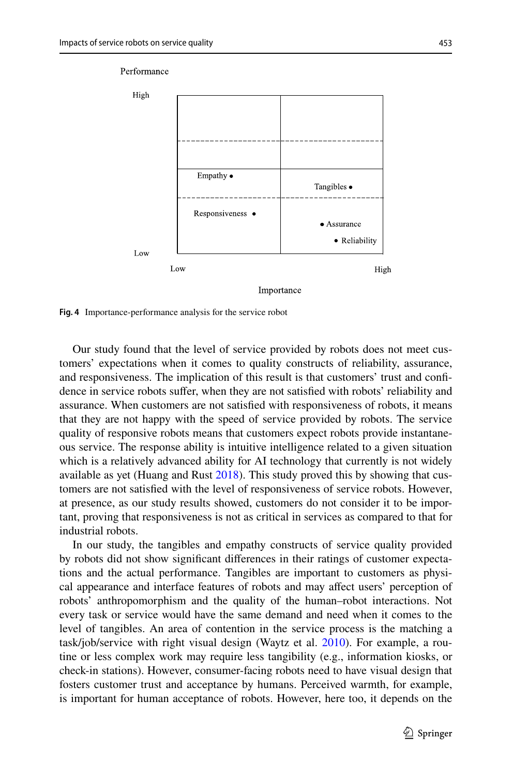

<span id="page-14-0"></span>**Fig. 4** Importance-performance analysis for the service robot

Our study found that the level of service provided by robots does not meet customers' expectations when it comes to quality constructs of reliability, assurance, and responsiveness. The implication of this result is that customers' trust and confdence in service robots sufer, when they are not satisfed with robots' reliability and assurance. When customers are not satisfed with responsiveness of robots, it means that they are not happy with the speed of service provided by robots. The service quality of responsive robots means that customers expect robots provide instantaneous service. The response ability is intuitive intelligence related to a given situation which is a relatively advanced ability for AI technology that currently is not widely available as yet (Huang and Rust  $2018$ ). This study proved this by showing that customers are not satisfed with the level of responsiveness of service robots. However, at presence, as our study results showed, customers do not consider it to be important, proving that responsiveness is not as critical in services as compared to that for industrial robots.

In our study, the tangibles and empathy constructs of service quality provided by robots did not show signifcant diferences in their ratings of customer expectations and the actual performance. Tangibles are important to customers as physical appearance and interface features of robots and may afect users' perception of robots' anthropomorphism and the quality of the human–robot interactions. Not every task or service would have the same demand and need when it comes to the level of tangibles. An area of contention in the service process is the matching a task/job/service with right visual design (Waytz et al. [2010\)](#page-20-9). For example, a routine or less complex work may require less tangibility (e.g., information kiosks, or check-in stations). However, consumer-facing robots need to have visual design that fosters customer trust and acceptance by humans. Perceived warmth, for example, is important for human acceptance of robots. However, here too, it depends on the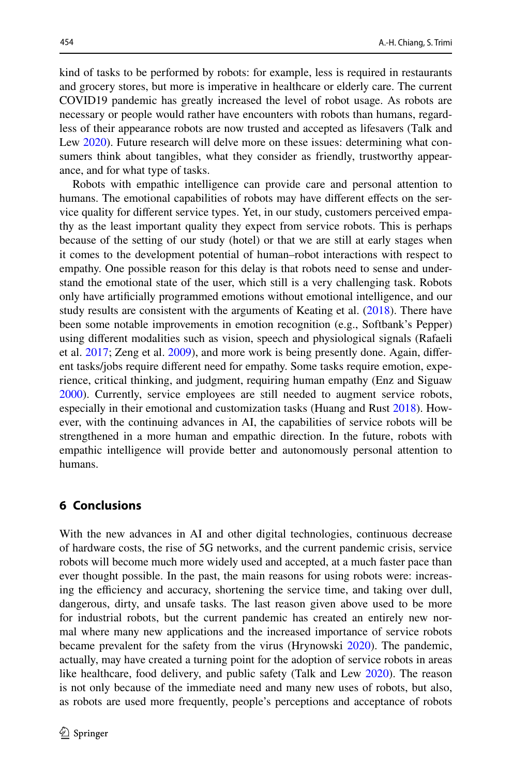kind of tasks to be performed by robots: for example, less is required in restaurants and grocery stores, but more is imperative in healthcare or elderly care. The current COVID19 pandemic has greatly increased the level of robot usage. As robots are necessary or people would rather have encounters with robots than humans, regardless of their appearance robots are now trusted and accepted as lifesavers (Talk and Lew [2020](#page-20-1)). Future research will delve more on these issues: determining what consumers think about tangibles, what they consider as friendly, trustworthy appearance, and for what type of tasks.

Robots with empathic intelligence can provide care and personal attention to humans. The emotional capabilities of robots may have different effects on the service quality for diferent service types. Yet, in our study, customers perceived empathy as the least important quality they expect from service robots. This is perhaps because of the setting of our study (hotel) or that we are still at early stages when it comes to the development potential of human–robot interactions with respect to empathy. One possible reason for this delay is that robots need to sense and understand the emotional state of the user, which still is a very challenging task. Robots only have artifcially programmed emotions without emotional intelligence, and our study results are consistent with the arguments of Keating et al. ([2018\)](#page-18-26). There have been some notable improvements in emotion recognition (e.g., Softbank's Pepper) using diferent modalities such as vision, speech and physiological signals (Rafaeli et al. [2017](#page-19-26); Zeng et al. [2009](#page-20-10)), and more work is being presently done. Again, diferent tasks/jobs require diferent need for empathy. Some tasks require emotion, experience, critical thinking, and judgment, requiring human empathy (Enz and Siguaw [2000](#page-18-27)). Currently, service employees are still needed to augment service robots, especially in their emotional and customization tasks (Huang and Rust [2018](#page-18-1)). However, with the continuing advances in AI, the capabilities of service robots will be strengthened in a more human and empathic direction. In the future, robots with empathic intelligence will provide better and autonomously personal attention to humans.

# **6 Conclusions**

With the new advances in AI and other digital technologies, continuous decrease of hardware costs, the rise of 5G networks, and the current pandemic crisis, service robots will become much more widely used and accepted, at a much faster pace than ever thought possible. In the past, the main reasons for using robots were: increasing the efficiency and accuracy, shortening the service time, and taking over dull, dangerous, dirty, and unsafe tasks. The last reason given above used to be more for industrial robots, but the current pandemic has created an entirely new normal where many new applications and the increased importance of service robots became prevalent for the safety from the virus (Hrynowski [2020](#page-18-0)). The pandemic, actually, may have created a turning point for the adoption of service robots in areas like healthcare, food delivery, and public safety (Talk and Lew [2020\)](#page-20-1). The reason is not only because of the immediate need and many new uses of robots, but also, as robots are used more frequently, people's perceptions and acceptance of robots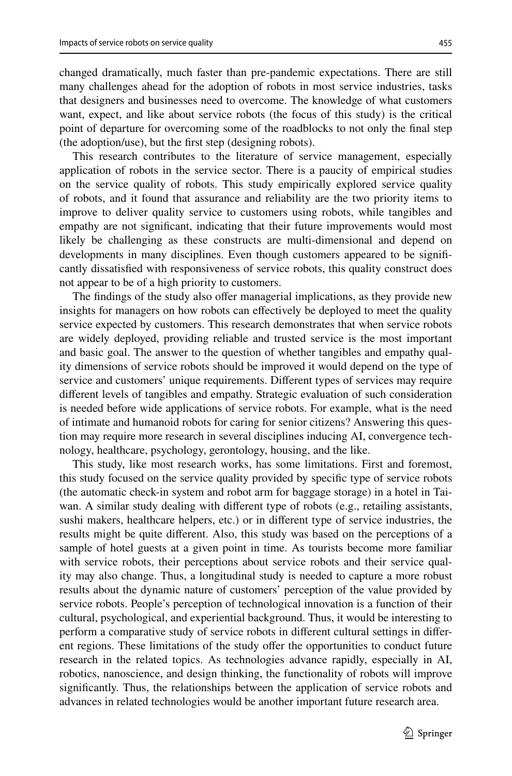changed dramatically, much faster than pre-pandemic expectations. There are still many challenges ahead for the adoption of robots in most service industries, tasks that designers and businesses need to overcome. The knowledge of what customers want, expect, and like about service robots (the focus of this study) is the critical point of departure for overcoming some of the roadblocks to not only the fnal step (the adoption/use), but the frst step (designing robots).

This research contributes to the literature of service management, especially application of robots in the service sector. There is a paucity of empirical studies on the service quality of robots. This study empirically explored service quality of robots, and it found that assurance and reliability are the two priority items to improve to deliver quality service to customers using robots, while tangibles and empathy are not signifcant, indicating that their future improvements would most likely be challenging as these constructs are multi-dimensional and depend on developments in many disciplines. Even though customers appeared to be signifcantly dissatisfed with responsiveness of service robots, this quality construct does not appear to be of a high priority to customers.

The findings of the study also offer managerial implications, as they provide new insights for managers on how robots can efectively be deployed to meet the quality service expected by customers. This research demonstrates that when service robots are widely deployed, providing reliable and trusted service is the most important and basic goal. The answer to the question of whether tangibles and empathy quality dimensions of service robots should be improved it would depend on the type of service and customers' unique requirements. Diferent types of services may require diferent levels of tangibles and empathy. Strategic evaluation of such consideration is needed before wide applications of service robots. For example, what is the need of intimate and humanoid robots for caring for senior citizens? Answering this question may require more research in several disciplines inducing AI, convergence technology, healthcare, psychology, gerontology, housing, and the like.

This study, like most research works, has some limitations. First and foremost, this study focused on the service quality provided by specifc type of service robots (the automatic check-in system and robot arm for baggage storage) in a hotel in Taiwan. A similar study dealing with diferent type of robots (e.g., retailing assistants, sushi makers, healthcare helpers, etc.) or in diferent type of service industries, the results might be quite diferent. Also, this study was based on the perceptions of a sample of hotel guests at a given point in time. As tourists become more familiar with service robots, their perceptions about service robots and their service quality may also change. Thus, a longitudinal study is needed to capture a more robust results about the dynamic nature of customers' perception of the value provided by service robots. People's perception of technological innovation is a function of their cultural, psychological, and experiential background. Thus, it would be interesting to perform a comparative study of service robots in diferent cultural settings in diferent regions. These limitations of the study offer the opportunities to conduct future research in the related topics. As technologies advance rapidly, especially in AI, robotics, nanoscience, and design thinking, the functionality of robots will improve signifcantly. Thus, the relationships between the application of service robots and advances in related technologies would be another important future research area.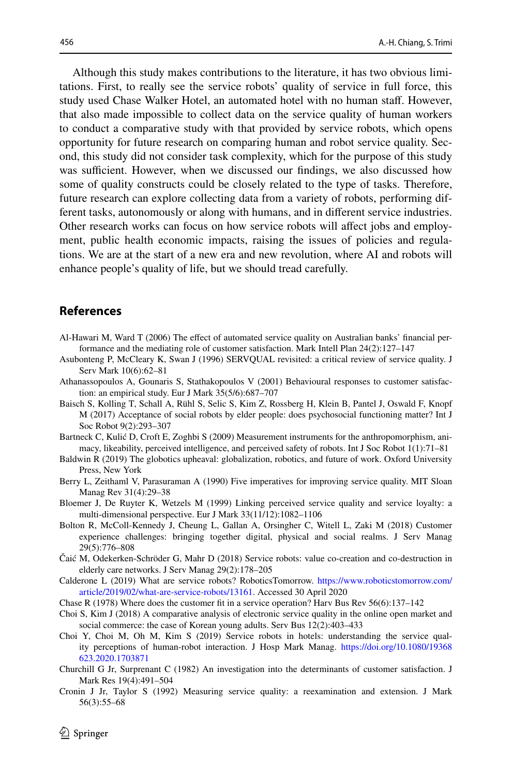Although this study makes contributions to the literature, it has two obvious limitations. First, to really see the service robots' quality of service in full force, this study used Chase Walker Hotel, an automated hotel with no human staff. However, that also made impossible to collect data on the service quality of human workers to conduct a comparative study with that provided by service robots, which opens opportunity for future research on comparing human and robot service quality. Second, this study did not consider task complexity, which for the purpose of this study was sufficient. However, when we discussed our findings, we also discussed how some of quality constructs could be closely related to the type of tasks. Therefore, future research can explore collecting data from a variety of robots, performing different tasks, autonomously or along with humans, and in diferent service industries. Other research works can focus on how service robots will afect jobs and employment, public health economic impacts, raising the issues of policies and regulations. We are at the start of a new era and new revolution, where AI and robots will enhance people's quality of life, but we should tread carefully.

## **References**

- <span id="page-17-13"></span>Al-Hawari M, Ward T (2006) The efect of automated service quality on Australian banks' fnancial performance and the mediating role of customer satisfaction. Mark Intell Plan 24(2):127–147
- <span id="page-17-9"></span>Asubonteng P, McCleary K, Swan J (1996) SERVQUAL revisited: a critical review of service quality. J Serv Mark 10(6):62–81
- <span id="page-17-11"></span>Athanassopoulos A, Gounaris S, Stathakopoulos V (2001) Behavioural responses to customer satisfaction: an empirical study. Eur J Mark 35(5/6):687–707
- <span id="page-17-3"></span>Baisch S, Kolling T, Schall A, Rühl S, Selic S, Kim Z, Rossberg H, Klein B, Pantel J, Oswald F, Knopf M (2017) Acceptance of social robots by elder people: does psychosocial functioning matter? Int J Soc Robot 9(2):293–307
- <span id="page-17-8"></span>Bartneck C, Kulić D, Croft E, Zoghbi S (2009) Measurement instruments for the anthropomorphism, animacy, likeability, perceived intelligence, and perceived safety of robots. Int J Soc Robot 1(1):71–81
- <span id="page-17-0"></span>Baldwin R (2019) The globotics upheaval: globalization, robotics, and future of work. Oxford University Press, New York
- <span id="page-17-14"></span>Berry L, Zeithaml V, Parasuraman A (1990) Five imperatives for improving service quality. MIT Sloan Manag Rev 31(4):29–38
- <span id="page-17-12"></span>Bloemer J, De Ruyter K, Wetzels M (1999) Linking perceived service quality and service loyalty: a multi-dimensional perspective. Eur J Mark 33(11/12):1082–1106
- <span id="page-17-6"></span>Bolton R, McColl-Kennedy J, Cheung L, Gallan A, Orsingher C, Witell L, Zaki M (2018) Customer experience challenges: bringing together digital, physical and social realms. J Serv Manag 29(5):776–808
- <span id="page-17-4"></span>Čaić M, Odekerken-Schröder G, Mahr D (2018) Service robots: value co-creation and co-destruction in elderly care networks. J Serv Manag 29(2):178–205
- <span id="page-17-2"></span>Calderone L (2019) What are service robots? RoboticsTomorrow. [https://www.roboticstomorrow.com/](https://www.roboticstomorrow.com/article/2019/02/what-are-service-robots/13161) [article/2019/02/what-are-service-robots/13161](https://www.roboticstomorrow.com/article/2019/02/what-are-service-robots/13161). Accessed 30 April 2020
- <span id="page-17-1"></span>Chase R (1978) Where does the customer ft in a service operation? Harv Bus Rev 56(6):137–142
- <span id="page-17-7"></span>Choi S, Kim J (2018) A comparative analysis of electronic service quality in the online open market and social commerce: the case of Korean young adults. Serv Bus 12(2):403–433
- <span id="page-17-5"></span>Choi Y, Choi M, Oh M, Kim S (2019) Service robots in hotels: understanding the service quality perceptions of human-robot interaction. J Hosp Mark Manag. [https://doi.org/10.1080/19368](https://doi.org/10.1080/19368623.2020.1703871) [623.2020.1703871](https://doi.org/10.1080/19368623.2020.1703871)
- <span id="page-17-10"></span>Churchill G Jr, Surprenant C (1982) An investigation into the determinants of customer satisfaction. J Mark Res 19(4):491–504
- <span id="page-17-15"></span>Cronin J Jr, Taylor S (1992) Measuring service quality: a reexamination and extension. J Mark 56(3):55–68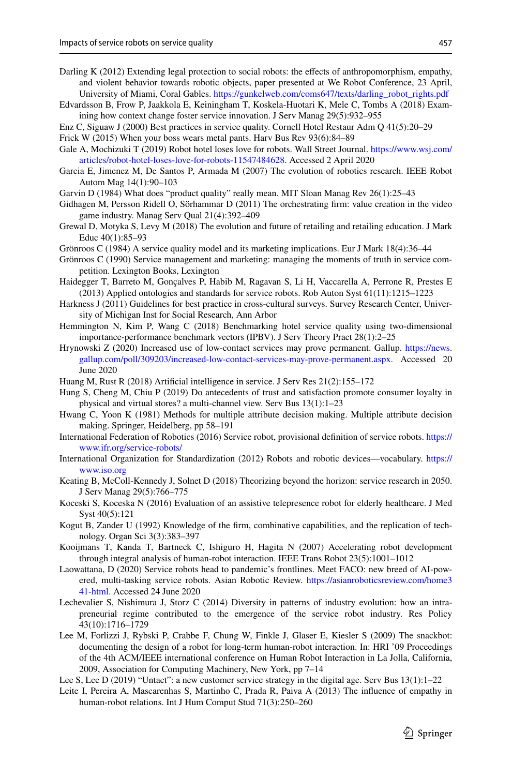- <span id="page-18-16"></span>Darling K (2012) Extending legal protection to social robots: the effects of anthropomorphism, empathy, and violent behavior towards robotic objects, paper presented at We Robot Conference, 23 April, University of Miami, Coral Gables. [https://gunkelweb.com/coms647/texts/darling\\_robot\\_rights.pdf](http://gunkelweb.com/coms647/texts/darling_robot_rights.pdf)
- <span id="page-18-11"></span>Edvardsson B, Frow P, Jaakkola E, Keiningham T, Koskela-Huotari K, Mele C, Tombs A (2018) Examining how context change foster service innovation. J Serv Manag 29(5):932–955
- <span id="page-18-27"></span>Enz C, Siguaw J (2000) Best practices in service quality. Cornell Hotel Restaur Adm Q 41(5):20–29
- <span id="page-18-3"></span>Frick W (2015) When your boss wears metal pants. Harv Bus Rev 93(6):84–89
- <span id="page-18-8"></span>Gale A, Mochizuki T (2019) Robot hotel loses love for robots. Wall Street Journal. [https://www.wsj.com/](https://www.wsj.com/articles/robot-hotel-loses-love-for-robots-11547484628) [articles/robot-hotel-loses-love-for-robots-11547484628](https://www.wsj.com/articles/robot-hotel-loses-love-for-robots-11547484628). Accessed 2 April 2020
- <span id="page-18-13"></span>Garcia E, Jimenez M, De Santos P, Armada M (2007) The evolution of robotics research. IEEE Robot Autom Mag 14(1):90–103
- <span id="page-18-21"></span>Garvin D (1984) What does "product quality" really mean. MIT Sloan Manag Rev 26(1):25–43
- <span id="page-18-10"></span>Gidhagen M, Persson Ridell O, Sörhammar D (2011) The orchestrating frm: value creation in the video game industry. Manag Serv Qual 21(4):392–409
- <span id="page-18-2"></span>Grewal D, Motyka S, Levy M (2018) The evolution and future of retailing and retailing education. J Mark Educ 40(1):85–93
- <span id="page-18-22"></span>Grönroos C (1984) A service quality model and its marketing implications. Eur J Mark 18(4):36–44
- <span id="page-18-23"></span>Grönroos C (1990) Service management and marketing: managing the moments of truth in service competition. Lexington Books, Lexington
- <span id="page-18-5"></span>Haidegger T, Barreto M, Gonçalves P, Habib M, Ragavan S, Li H, Vaccarella A, Perrone R, Prestes E (2013) Applied ontologies and standards for service robots. Rob Auton Syst 61(11):1215–1223
- <span id="page-18-24"></span>Harkness J (2011) Guidelines for best practice in cross-cultural surveys. Survey Research Center, University of Michigan Inst for Social Research, Ann Arbor
- <span id="page-18-20"></span>Hemmington N, Kim P, Wang C (2018) Benchmarking hotel service quality using two-dimensional importance-performance benchmark vectors (IPBV). J Serv Theory Pract 28(1):2–25
- <span id="page-18-0"></span>Hrynowski Z (2020) Increased use of low-contact services may prove permanent. Gallup. [https://news.](https://news.gallup.com/poll/309203/increased-low-contact-services-may-prove-permanent.aspx) [gallup.com/poll/309203/increased-low-contact-services-may-prove-permanent.aspx.](https://news.gallup.com/poll/309203/increased-low-contact-services-may-prove-permanent.aspx) Accessed 20 June 2020
- <span id="page-18-1"></span>Huang M, Rust R (2018) Artifcial intelligence in service. J Serv Res 21(2):155–172
- <span id="page-18-18"></span>Hung S, Cheng M, Chiu P (2019) Do antecedents of trust and satisfaction promote consumer loyalty in physical and virtual stores? a multi-channel view. Serv Bus 13(1):1–23
- <span id="page-18-25"></span>Hwang C, Yoon K (1981) Methods for multiple attribute decision making. Multiple attribute decision making. Springer, Heidelberg, pp 58–191
- International Federation of Robotics (2016) Service robot, provisional defnition of service robots. [https://](http://www.ifr.org/service-robots/) [www.ifr.org/service-robots/](http://www.ifr.org/service-robots/)
- <span id="page-18-14"></span>International Organization for Standardization (2012) Robots and robotic devices—vocabulary. [https://](http://www.iso.org) [www.iso.org](http://www.iso.org)
- <span id="page-18-26"></span>Keating B, McColl-Kennedy J, Solnet D (2018) Theorizing beyond the horizon: service research in 2050. J Serv Manag 29(5):766–775
- <span id="page-18-15"></span>Koceski S, Koceska N (2016) Evaluation of an assistive telepresence robot for elderly healthcare. J Med Syst 40(5):121
- <span id="page-18-9"></span>Kogut B, Zander U (1992) Knowledge of the frm, combinative capabilities, and the replication of technology. Organ Sci 3(3):383–397
- <span id="page-18-19"></span>Kooijmans T, Kanda T, Bartneck C, Ishiguro H, Hagita N (2007) Accelerating robot development through integral analysis of human-robot interaction. IEEE Trans Robot 23(5):1001–1012
- <span id="page-18-7"></span>Laowattana, D (2020) Service robots head to pandemic's frontlines. Meet FACO: new breed of AI-powered, multi-tasking service robots. Asian Robotic Review. [https://asianroboticsreview.com/home3](https://asianroboticsreview.com/home341-html) [41-html](https://asianroboticsreview.com/home341-html). Accessed 24 June 2020
- <span id="page-18-6"></span>Lechevalier S, Nishimura J, Storz C (2014) Diversity in patterns of industry evolution: how an intrapreneurial regime contributed to the emergence of the service robot industry. Res Policy 43(10):1716–1729
- <span id="page-18-4"></span>Lee M, Forlizzi J, Rybski P, Crabbe F, Chung W, Finkle J, Glaser E, Kiesler S (2009) The snackbot: documenting the design of a robot for long-term human-robot interaction. In: HRI '09 Proceedings of the 4th ACM/IEEE international conference on Human Robot Interaction in La Jolla, California, 2009, Association for Computing Machinery, New York, pp 7–14
- <span id="page-18-12"></span>Lee S, Lee D (2019) "Untact": a new customer service strategy in the digital age. Serv Bus 13(1):1–22
- <span id="page-18-17"></span>Leite I, Pereira A, Mascarenhas S, Martinho C, Prada R, Paiva A (2013) The infuence of empathy in human-robot relations. Int J Hum Comput Stud 71(3):250–260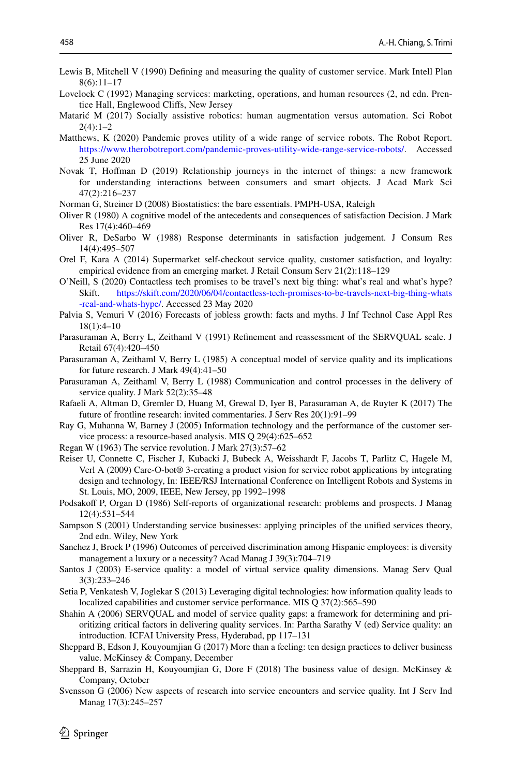- <span id="page-19-12"></span>Lewis B, Mitchell V (1990) Defning and measuring the quality of customer service. Mark Intell Plan  $8(6):11-17$
- <span id="page-19-4"></span>Lovelock C (1992) Managing services: marketing, operations, and human resources (2, nd edn. Prentice Hall, Englewood Clifs, New Jersey
- <span id="page-19-6"></span>Matarić M (2017) Socially assistive robotics: human augmentation versus automation. Sci Robot  $2(4) \cdot 1 - 2$
- <span id="page-19-1"></span>Matthews, K (2020) Pandemic proves utility of a wide range of service robots. The Robot Report. <https://www.therobotreport.com/pandemic-proves-utility-wide-range-service-robots/>. Accessed 25 June 2020
- <span id="page-19-7"></span>Novak T, Hofman D (2019) Relationship journeys in the internet of things: a new framework for understanding interactions between consumers and smart objects. J Acad Mark Sci 47(2):216–237
- <span id="page-19-23"></span>Norman G, Streiner D (2008) Biostatistics: the bare essentials. PMPH-USA, Raleigh
- <span id="page-19-19"></span>Oliver R (1980) A cognitive model of the antecedents and consequences of satisfaction Decision. J Mark Res 17(4):460–469
- <span id="page-19-20"></span>Oliver R, DeSarbo W (1988) Response determinants in satisfaction judgement. J Consum Res 14(4):495–507
- <span id="page-19-14"></span>Orel F, Kara A (2014) Supermarket self-checkout service quality, customer satisfaction, and loyalty: empirical evidence from an emerging market. J Retail Consum Serv 21(2):118–129
- <span id="page-19-5"></span>O'Neill, S (2020) Contactless tech promises to be travel's next big thing: what's real and what's hype?<br>Skift https://skift.com/2020/06/04/contactless-tech-promises-to-be-travels-next-big-thing-whats [https://skift.com/2020/06/04/contactless-tech-promises-to-be-travels-next-big-thing-whats](https://skift.com/2020/06/04/contactless-tech-promises-to-be-travels-next-big-thing-whats-real-and-whats-hype/) [-real-and-whats-hype/](https://skift.com/2020/06/04/contactless-tech-promises-to-be-travels-next-big-thing-whats-real-and-whats-hype/). Accessed 23 May 2020
- <span id="page-19-0"></span>Palvia S, Vemuri V (2016) Forecasts of jobless growth: facts and myths. J Inf Technol Case Appl Res 18(1):4–10
- <span id="page-19-13"></span>Parasuraman A, Berry L, Zeithaml V (1991) Refnement and reassessment of the SERVQUAL scale. J Retail 67(4):420–450
- <span id="page-19-16"></span>Parasuraman A, Zeithaml V, Berry L (1985) A conceptual model of service quality and its implications for future research. J Mark 49(4):41–50
- <span id="page-19-17"></span>Parasuraman A, Zeithaml V, Berry L (1988) Communication and control processes in the delivery of service quality. J Mark 52(2):35–48
- <span id="page-19-26"></span>Rafaeli A, Altman D, Gremler D, Huang M, Grewal D, Iyer B, Parasuraman A, de Ruyter K (2017) The future of frontline research: invited commentaries. J Serv Res 20(1):91–99
- <span id="page-19-8"></span>Ray G, Muhanna W, Barney J (2005) Information technology and the performance of the customer service process: a resource-based analysis. MIS Q 29(4):625–652
- <span id="page-19-2"></span>Regan W (1963) The service revolution. J Mark 27(3):57–62
- <span id="page-19-10"></span>Reiser U, Connette C, Fischer J, Kubacki J, Bubeck A, Weisshardt F, Jacobs T, Parlitz C, Hagele M, Verl A (2009) Care-O-bot® 3-creating a product vision for service robot applications by integrating design and technology, In: IEEE/RSJ International Conference on Intelligent Robots and Systems in St. Louis, MO, 2009, IEEE, New Jersey, pp 1992–1998
- <span id="page-19-21"></span>Podsakoff P, Organ D (1986) Self-reports of organizational research: problems and prospects. J Manag 12(4):531–544
- <span id="page-19-3"></span>Sampson S (2001) Understanding service businesses: applying principles of the unifed services theory, 2nd edn. Wiley, New York
- <span id="page-19-22"></span>Sanchez J, Brock P (1996) Outcomes of perceived discrimination among Hispanic employees: is diversity management a luxury or a necessity? Acad Manag J 39(3):704–719
- <span id="page-19-11"></span>Santos J (2003) E-service quality: a model of virtual service quality dimensions. Manag Serv Qual 3(3):233–246
- <span id="page-19-9"></span>Setia P, Venkatesh V, Joglekar S (2013) Leveraging digital technologies: how information quality leads to localized capabilities and customer service performance. MIS Q 37(2):565–590
- <span id="page-19-18"></span>Shahin A (2006) SERVQUAL and model of service quality gaps: a framework for determining and prioritizing critical factors in delivering quality services. In: Partha Sarathy V (ed) Service quality: an introduction. ICFAI University Press, Hyderabad, pp 117–131
- <span id="page-19-24"></span>Sheppard B, Edson J, Kouyoumjian G (2017) More than a feeling: ten design practices to deliver business value. McKinsey & Company, December
- <span id="page-19-25"></span>Sheppard B, Sarrazin H, Kouyoumjian G, Dore F (2018) The business value of design. McKinsey & Company, October
- <span id="page-19-15"></span>Svensson G (2006) New aspects of research into service encounters and service quality. Int J Serv Ind Manag 17(3):245–257